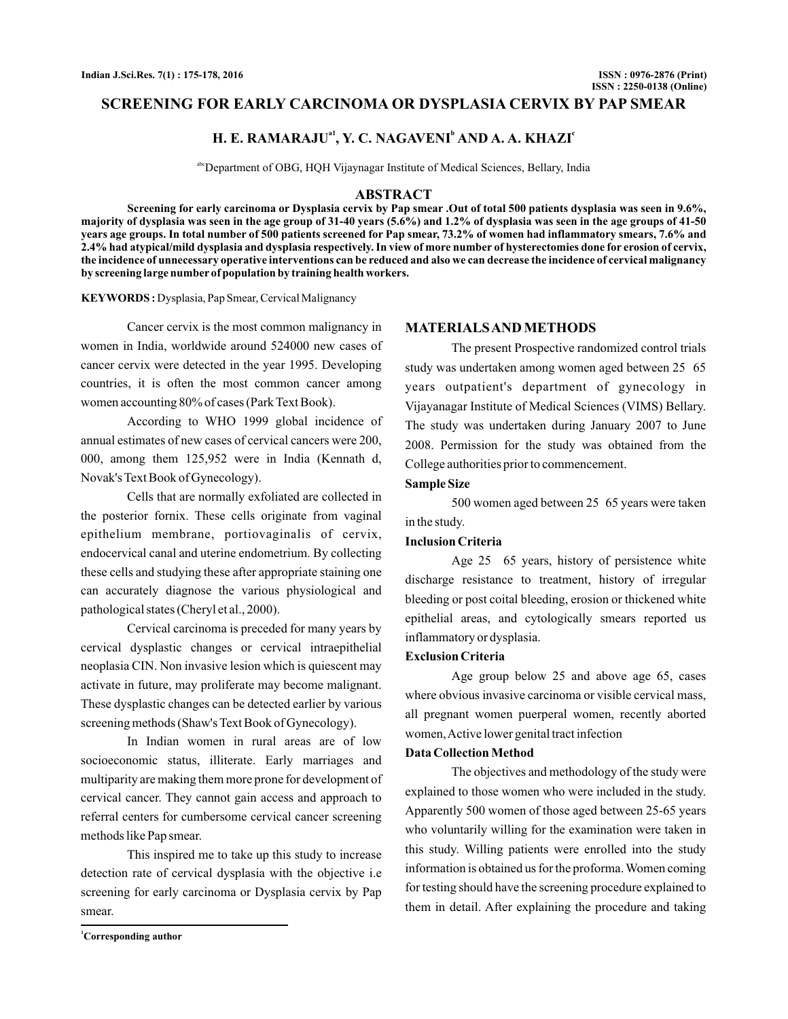# **SCREENING FOR EARLY CARCINOMA OR DYSPLASIA CERVIX BY PAP SMEAR**

# **H. E. RAMARAJU<sup>a1</sup>, Y. C. NAGAVENI<sup>b</sup> AND A. A. KHAZI<sup>c</sup>**

abcDepartment of OBG, HQH Vijaynagar Institute of Medical Sciences, Bellary, India

### **ABSTRACT**

**Screening for early carcinoma or Dysplasia cervix by Pap smear .Out of total 500 patients dysplasia was seen in 9.6%, majority of dysplasia was seen in the age group of 31-40 years (5.6%) and 1.2% of dysplasia was seen in the age groups of 41-50 years age groups. In total number of 500 patients screened for Pap smear, 73.2% of women had inflammatory smears, 7.6% and 2.4% had atypical/mild dysplasia and dysplasia respectively. In view of more number of hysterectomies done for erosion of cervix, the incidence of unnecessary operative interventions can be reduced and also we can decrease the incidence of cervical malignancy by screening large number of population by training health workers.**

**KEYWORDS :** Dysplasia, Pap Smear, Cervical Malignancy

Cancer cervix is the most common malignancy in women in India, worldwide around 524000 new cases of cancer cervix were detected in the year 1995. Developing countries, it is often the most common cancer among women accounting 80% of cases (Park Text Book).

According to WHO 1999 global incidence of annual estimates of new cases of cervical cancers were 200, 000, among them 125,952 were in India (Kennath d, Novak's Text Book of Gynecology).

Cells that are normally exfoliated are collected in the posterior fornix. These cells originate from vaginal epithelium membrane, portiovaginalis of cervix, endocervical canal and uterine endometrium. By collecting these cells and studying these after appropriate staining one can accurately diagnose the various physiological and pathological states (Cheryl et al., 2000).

Cervical carcinoma is preceded for many years by cervical dysplastic changes or cervical intraepithelial neoplasia CIN. Non invasive lesion which is quiescent may activate in future, may proliferate may become malignant. These dysplastic changes can be detected earlier by various screening methods (Shaw's Text Book of Gynecology).

In Indian women in rural areas are of low socioeconomic status, illiterate. Early marriages and multiparity are making them more prone for development of cervical cancer. They cannot gain access and approach to referral centers for cumbersome cervical cancer screening methods like Pap smear.

This inspired me to take up this study to increase detection rate of cervical dysplasia with the objective i.e screening for early carcinoma or Dysplasia cervix by Pap smear.

### **MATERIALSAND METHODS**

The present Prospective randomized control trials study was undertaken among women aged between 25 65 years outpatient's department of gynecology in Vijayanagar Institute of Medical Sciences (VIMS) Bellary. The study was undertaken during January 2007 to June 2008. Permission for the study was obtained from the College authorities prior to commencement.

# **Sample Size**

500 women aged between 25 65 years were taken in the study.

### **Inclusion Criteria**

Age 25 65 years, history of persistence white discharge resistance to treatment, history of irregular bleeding or post coital bleeding, erosion or thickened white epithelial areas, and cytologically smears reported us inflammatory or dysplasia.

# **Exclusion Criteria**

Age group below 25 and above age 65, cases where obvious invasive carcinoma or visible cervical mass, all pregnant women puerperal women, recently aborted women,Active lower genital tract infection

#### **Data Collection Method**

The objectives and methodology of the study were explained to those women who were included in the study. Apparently 500 women of those aged between 25-65 years who voluntarily willing for the examination were taken in this study. Willing patients were enrolled into the study information is obtained us for the proforma. Women coming for testing should have the screening procedure explained to them in detail. After explaining the procedure and taking

**<sup>1</sup>Corresponding author**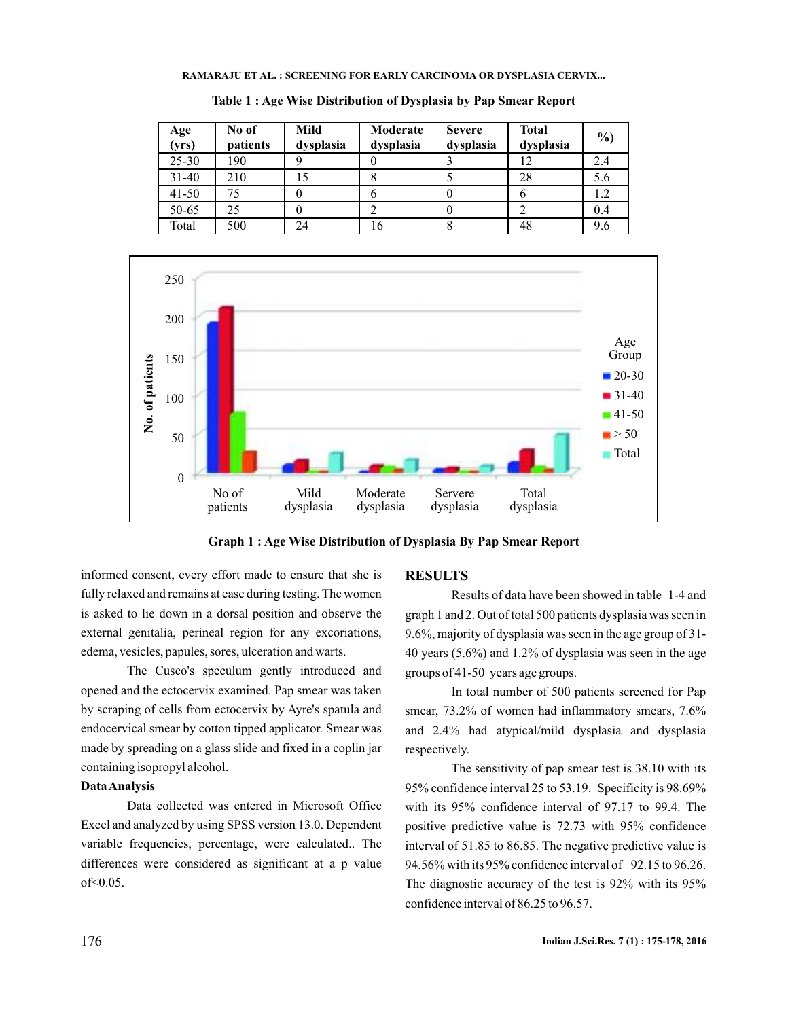#### **RAMARAJU ET AL. : SCREENING FOR EARLY CARCINOMA OR DYSPLASIA CERVIX...**

| Age<br>(yrs) | No of<br>patients | Mild<br>dysplasia | Moderate<br>dysplasia | <b>Severe</b><br>dysplasia | <b>Total</b><br>dysplasia | $\frac{6}{2}$ |
|--------------|-------------------|-------------------|-----------------------|----------------------------|---------------------------|---------------|
| $25 - 30$    | 190               | Q                 |                       |                            | 12                        | 2.4           |
| $31 - 40$    | 210               |                   | δ                     |                            | 28                        | 5.6           |
| $41 - 50$    | 75                |                   | O                     |                            | o                         | 1.2           |
| 50-65        | 25                |                   |                       |                            |                           | 0.4           |
| Total        | 500               | 24                | 16                    | 8                          | 48                        | 9.6           |

**Table 1 : Age Wise Distribution of Dysplasia by Pap Smear Report**



**Graph 1 : Age Wise Distribution of Dysplasia By Pap Smear Report**

informed consent, every effort made to ensure that she is fully relaxed and remains at ease during testing. The women is asked to lie down in a dorsal position and observe the external genitalia, perineal region for any excoriations, edema, vesicles, papules, sores, ulceration and warts.

The Cusco's speculum gently introduced and opened and the ectocervix examined. Pap smear was taken by scraping of cells from ectocervix by Ayre's spatula and endocervical smear by cotton tipped applicator. Smear was made by spreading on a glass slide and fixed in a coplin jar containing isopropyl alcohol.

## **DataAnalysis**

Data collected was entered in Microsoft Office Excel and analyzed by using SPSS version 13.0. Dependent variable frequencies, percentage, were calculated.. The differences were considered as significant at a p value of<0.05.

### **RESULTS**

Results of data have been showed in table 1-4 and graph 1 and 2. Out of total 500 patients dysplasia was seen in 9.6%, majority of dysplasia was seen in the age group of 31- 40 years (5.6%) and 1.2% of dysplasia was seen in the age groups of 41-50 years age groups.

In total number of 500 patients screened for Pap smear, 73.2% of women had inflammatory smears, 7.6% and 2.4% had atypical/mild dysplasia and dysplasia respectively.

The sensitivity of pap smear test is 38.10 with its 95% confidence interval 25 to 53.19. Specificity is 98.69% with its 95% confidence interval of 97.17 to 99.4. The positive predictive value is 72.73 with 95% confidence interval of 51.85 to 86.85. The negative predictive value is 94.56% with its 95% confidence interval of 92.15 to 96.26. The diagnostic accuracy of the test is 92% with its 95% confidence interval of 86.25 to 96.57.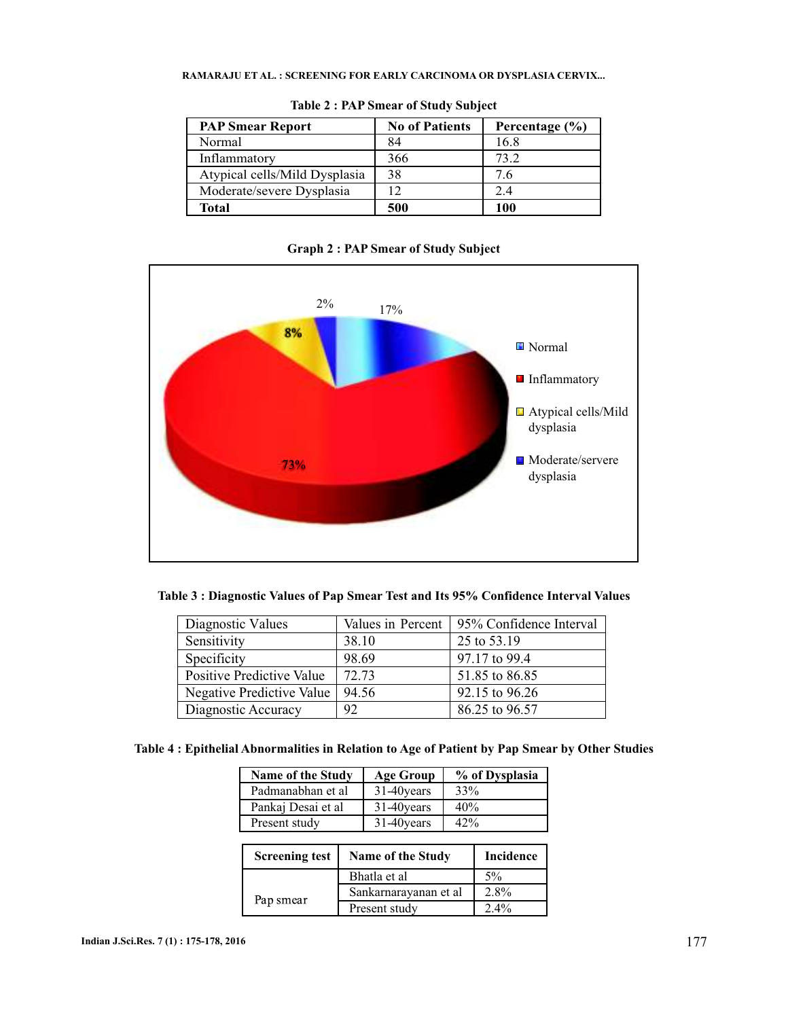## **RAMARAJU ET AL. : SCREENING FOR EARLY CARCINOMA OR DYSPLASIA CERVIX...**

| <b>PAP Smear Report</b>       | <b>No of Patients</b> | Percentage $(\% )$ |  |
|-------------------------------|-----------------------|--------------------|--|
| Normal                        | 84                    | 16.8               |  |
| Inflammatory                  | 366                   | 73.2               |  |
| Atypical cells/Mild Dysplasia | 38                    | 7.6                |  |
| Moderate/severe Dysplasia     | 12                    | 2.4                |  |
| Total                         | 500                   | 100                |  |

**Table 2 : PAP Smear of Study Subject**

**Graph 2 : PAP Smear of Study Subject**



**Table 3 : Diagnostic Values of Pap Smear Test and Its 95% Confidence Interval Values**

| Diagnostic Values         |       | Values in Percent   95% Confidence Interval |
|---------------------------|-------|---------------------------------------------|
| Sensitivity               | 38.10 | 25 to 53.19                                 |
| Specificity               | 98.69 | 97.17 to 99.4                               |
| Positive Predictive Value | 72.73 | 51.85 to 86.85                              |
| Negative Predictive Value | 94.56 | 92.15 to 96.26                              |
| Diagnostic Accuracy       | 92    | 86.25 to 96.57                              |

| <b>Name of the Study</b> |                       | <b>Age Group</b>  | % of Dysplasia   |  |  |  |
|--------------------------|-----------------------|-------------------|------------------|--|--|--|
| Padmanabhan et al        |                       | 31-40 years       | 33%              |  |  |  |
| Pankaj Desai et al       |                       | 31-40 years       | 40%              |  |  |  |
| Present study            |                       | 31-40years        | 42%              |  |  |  |
|                          |                       |                   |                  |  |  |  |
| <b>Screening test</b>    |                       | Name of the Study | <b>Incidence</b> |  |  |  |
|                          |                       | Bhatla et al      | $5\%$            |  |  |  |
|                          | Sankarnarayanan et al |                   | 2.8%             |  |  |  |
| Pap smear                |                       | Present study     | $2.4\%$          |  |  |  |